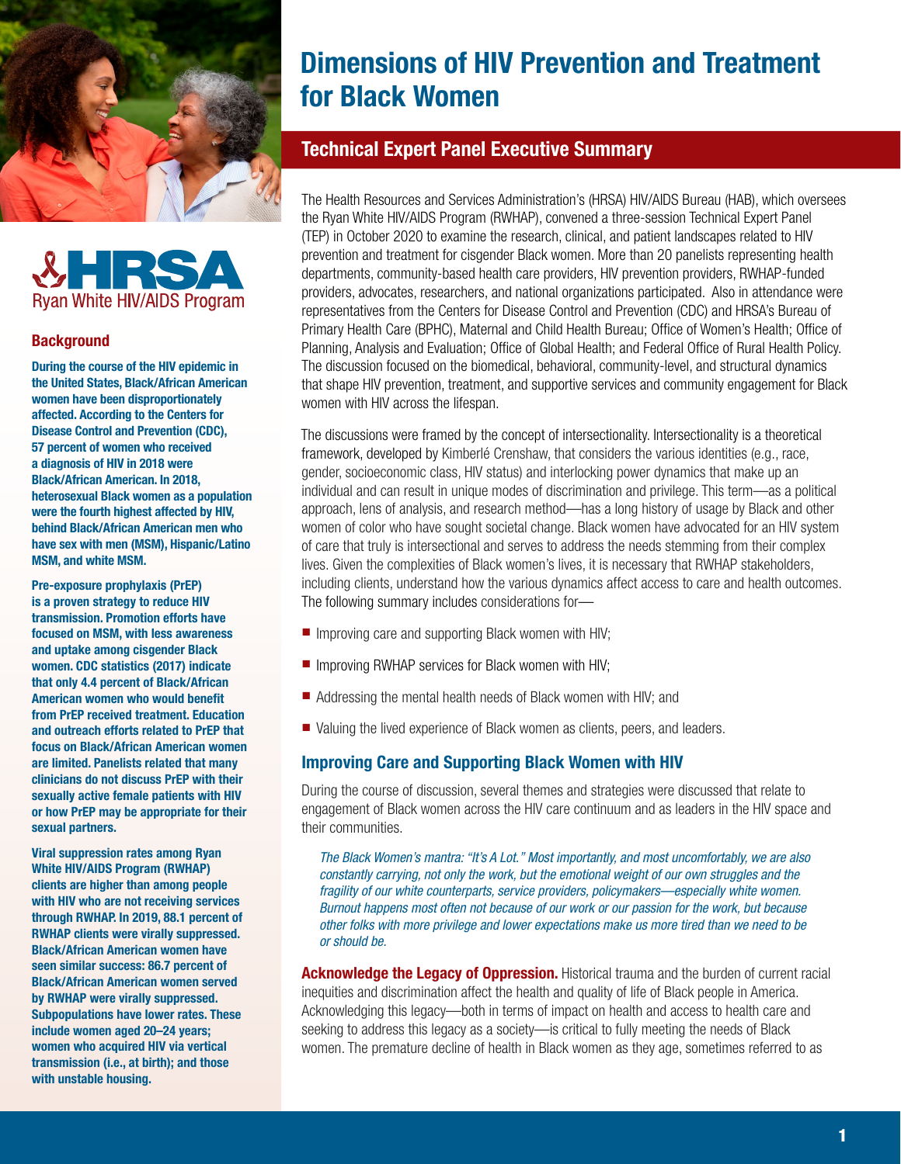



#### **Background**

During the course of the HIV epidemic in the United States, Black/African American women have been disproportionately affected. According to the Centers for Disease Control and Prevention (CDC), 57 percent of women who received a diagnosis of HIV in 2018 were Black/African American. In 2018, heterosexual Black women as a population were the fourth highest affected by HIV, behind Black/African American men who have sex with men (MSM), Hispanic/Latino MSM, and white MSM.

Pre-exposure prophylaxis (PrEP) is a proven strategy to reduce HIV transmission. Promotion efforts have focused on MSM, with less awareness and uptake among cisgender Black women. CDC statistics (2017) indicate that only 4.4 percent of Black/African American women who would benefit from PrEP received treatment. Education and outreach efforts related to PrEP that focus on Black/African American women are limited. Panelists related that many clinicians do not discuss PrEP with their sexually active female patients with HIV or how PrEP may be appropriate for their sexual partners.

Viral suppression rates among Ryan White HIV/AIDS Program (RWHAP) clients are higher than among people with HIV who are not receiving services through RWHAP. In 2019, 88.1 percent of RWHAP clients were virally suppressed. Black/African American women have seen similar success: 86.7 percent of Black/African American women served by RWHAP were virally suppressed. Subpopulations have lower rates. These include women aged 20–24 years; women who acquired HIV via vertical transmission (i.e., at birth); and those with unstable housing.

# Dimensions of HIV Prevention and Treatment for Black Women

## Technical Expert Panel Executive Summary

The Health Resources and Services Administration's (HRSA) HIV/AIDS Bureau (HAB), which oversees the Ryan White HIV/AIDS Program (RWHAP), convened a three-session Technical Expert Panel (TEP) in October 2020 to examine the research, clinical, and patient landscapes related to HIV prevention and treatment for cisgender Black women. More than 20 panelists representing health departments, community-based health care providers, HIV prevention providers, RWHAP-funded providers, advocates, researchers, and national organizations participated. Also in attendance were representatives from the Centers for Disease Control and Prevention (CDC) and HRSA's Bureau of Primary Health Care (BPHC), Maternal and Child Health Bureau; Office of Women's Health; Office of Planning, Analysis and Evaluation; Office of Global Health; and Federal Office of Rural Health Policy. The discussion focused on the biomedical, behavioral, community-level, and structural dynamics that shape HIV prevention, treatment, and supportive services and community engagement for Black women with HIV across the lifespan.

The discussions were framed by the concept of intersectionality. Intersectionality is a theoretical framework, developed by Kimberlé Crenshaw, that considers the various identities (e.g., race, gender, socioeconomic class, HIV status) and interlocking power dynamics that make up an individual and can result in unique modes of discrimination and privilege. This term—as a political approach, lens of analysis, and research method—has a long history of usage by Black and other women of color who have sought societal change. Black women have advocated for an HIV system of care that truly is intersectional and serves to address the needs stemming from their complex lives. Given the complexities of Black women's lives, it is necessary that RWHAP stakeholders, including clients, understand how the various dynamics affect access to care and health outcomes. The following summary includes considerations for—

- Improving care and supporting Black women with HIV;
- Improving RWHAP services for Black women with HIV:
- Addressing the mental health needs of Black women with HIV; and
- Valuing the lived experience of Black women as clients, peers, and leaders.

## Improving Care and Supporting Black Women with HIV

During the course of discussion, several themes and strategies were discussed that relate to engagement of Black women across the HIV care continuum and as leaders in the HIV space and their communities.

*The Black Women's mantra: "It's A Lot." Most importantly, and most uncomfortably, we are also constantly carrying, not only the work, but the emotional weight of our own struggles and the fragility of our white counterparts, service providers, policymakers—especially white women. Burnout happens most often not because of our work or our passion for the work, but because other folks with more privilege and lower expectations make us more tired than we need to be or should be.*

**Acknowledge the Legacy of Oppression.** Historical trauma and the burden of current racial inequities and discrimination affect the health and quality of life of Black people in America. Acknowledging this legacy—both in terms of impact on health and access to health care and seeking to address this legacy as a society—is critical to fully meeting the needs of Black women. The premature decline of health in Black women as they age, sometimes referred to as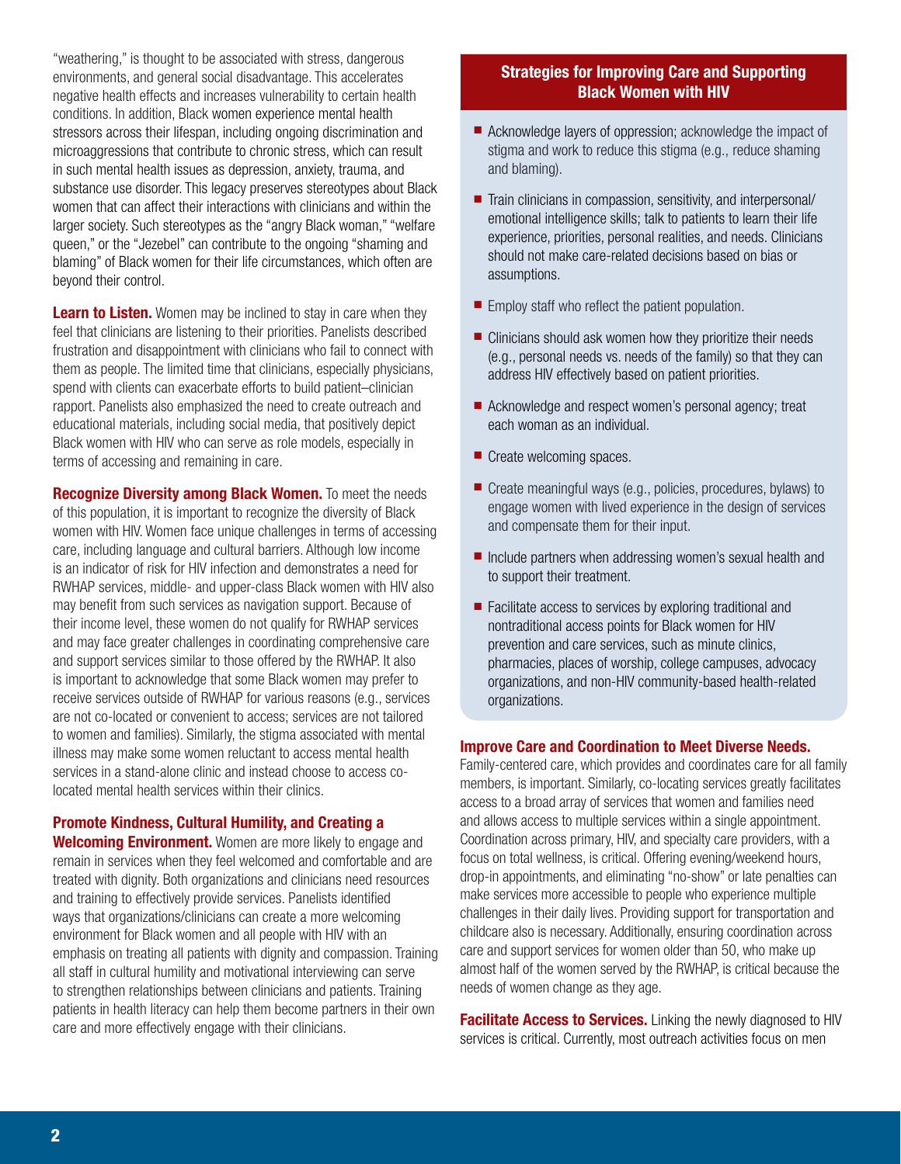"weathering," is thought to be associated with stress, dangerous environments, and general social disadvantage. This accelerates negative health effects and increases vulnerability to certain health conditions. In addition, Black women experience mental health stressors across their lifespan, including ongoing discrimination and microaggressions that contribute to chronic stress, which can result in such mental health issues as depression, anxiety, trauma, and substance use disorder. This legacy preserves stereotypes about Black women that can affect their interactions with clinicians and within the larger society. Such stereotypes as the "angry Black woman," "welfare queen," or the "Jezebel" can contribute to the ongoing "shaming and blaming" of Black women for their life circumstances, which often are beyond their control.

**Learn to Listen.** Women may be inclined to stay in care when they feel that clinicians are listening to their priorities. Panelists described frustration and disappointment with clinicians who fail to connect with them as people. The limited time that clinicians, especially physicians, spend with clients can exacerbate efforts to build patient–clinician rapport. Panelists also emphasized the need to create outreach and educational materials, including social media, that positively depict Black women with HIV who can serve as role models, especially in terms of accessing and remaining in care.

Recognize Diversity among Black Women. To meet the needs of this population, it is important to recognize the diversity of Black women with HIV. Women face unique challenges in terms of accessing care, including language and cultural barriers. Although low income is an indicator of risk for HIV infection and demonstrates a need for RWHAP services, middle- and upper-class Black women with HIV also may benefit from such services as navigation support. Because of their income level, these women do not qualify for RWHAP services and may face greater challenges in coordinating comprehensive care and support services similar to those offered by the RWHAP. It also is important to acknowledge that some Black women may prefer to receive services outside of RWHAP for various reasons (e.g., services are not co-located or convenient to access; services are not tailored to women and families). Similarly, the stigma associated with mental illness may make some women reluctant to access mental health services in a stand-alone clinic and instead choose to access colocated mental health services within their clinics.

# Promote Kindness, Cultural Humility, and Creating a

Welcoming Environment. Women are more likely to engage and remain in services when they feel welcomed and comfortable and are treated with dignity. Both organizations and clinicians need resources and training to effectively provide services. Panelists identified ways that organizations/clinicians can create a more welcoming environment for Black women and all people with HIV with an emphasis on treating all patients with dignity and compassion. Training all staff in cultural humility and motivational interviewing can serve to strengthen relationships between clinicians and patients. Training patients in health literacy can help them become partners in their own care and more effectively engage with their clinicians.

## Strategies for Improving Care and Supporting Black Women with HIV

- Acknowledge layers of oppression: acknowledge the impact of stigma and work to reduce this stigma (e.g., reduce shaming and blaming).
- Train clinicians in compassion, sensitivity, and interpersonal/ emotional intelligence skills; talk to patients to learn their life experience, priorities, personal realities, and needs. Clinicians should not make care-related decisions based on bias or assumptions.
- Employ staff who reflect the patient population.
- Clinicians should ask women how they prioritize their needs (e.g., personal needs vs. needs of the family) so that they can address HIV effectively based on patient priorities.
- Acknowledge and respect women's personal agency; treat each woman as an individual.
- Create welcoming spaces.
- Create meaningful ways (e.g., policies, procedures, bylaws) to engage women with lived experience in the design of services and compensate them for their input.
- Include partners when addressing women's sexual health and to support their treatment.
- Facilitate access to services by exploring traditional and nontraditional access points for Black women for HIV prevention and care services, such as minute clinics, pharmacies, places of worship, college campuses, advocacy organizations, and non-HIV community-based health-related organizations.

## Improve Care and Coordination to Meet Diverse Needs.

Family-centered care, which provides and coordinates care for all family members, is important. Similarly, co-locating services greatly facilitates access to a broad array of services that women and families need and allows access to multiple services within a single appointment. Coordination across primary, HIV, and specialty care providers, with a focus on total wellness, is critical. Offering evening/weekend hours, drop-in appointments, and eliminating "no-show" or late penalties can make services more accessible to people who experience multiple challenges in their daily lives. Providing support for transportation and childcare also is necessary. Additionally, ensuring coordination across care and support services for women older than 50, who make up almost half of the women served by the RWHAP, is critical because the needs of women change as they age.

**Facilitate Access to Services.** Linking the newly diagnosed to HIV services is critical. Currently, most outreach activities focus on men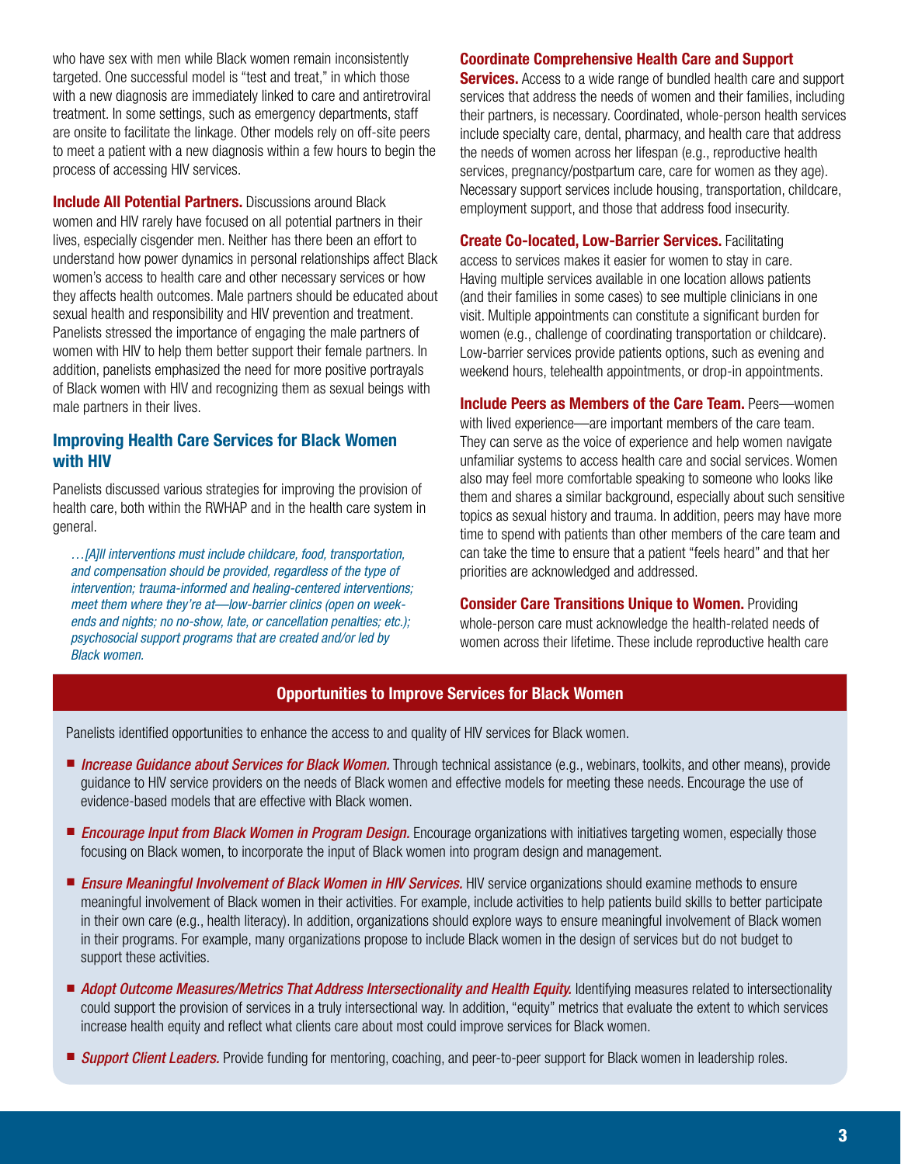who have sex with men while Black women remain inconsistently targeted. One successful model is "test and treat," in which those with a new diagnosis are immediately linked to care and antiretroviral treatment. In some settings, such as emergency departments, staff are onsite to facilitate the linkage. Other models rely on off-site peers to meet a patient with a new diagnosis within a few hours to begin the process of accessing HIV services.

**Include All Potential Partners.** Discussions around Black women and HIV rarely have focused on all potential partners in their lives, especially cisgender men. Neither has there been an effort to understand how power dynamics in personal relationships affect Black women's access to health care and other necessary services or how they affects health outcomes. Male partners should be educated about sexual health and responsibility and HIV prevention and treatment. Panelists stressed the importance of engaging the male partners of women with HIV to help them better support their female partners. In addition, panelists emphasized the need for more positive portrayals of Black women with HIV and recognizing them as sexual beings with male partners in their lives.

## Improving Health Care Services for Black Women with HIV

Panelists discussed various strategies for improving the provision of health care, both within the RWHAP and in the health care system in general.

*…[A]ll interventions must include childcare, food, transportation, and compensation should be provided, regardless of the type of intervention; trauma-informed and healing-centered interventions; meet them where they're at—low-barrier clinics (open on weekends and nights; no no-show, late, or cancellation penalties; etc.); psychosocial support programs that are created and/or led by Black women.*

#### Coordinate Comprehensive Health Care and Support

**Services.** Access to a wide range of bundled health care and support services that address the needs of women and their families, including their partners, is necessary. Coordinated, whole-person health services include specialty care, dental, pharmacy, and health care that address the needs of women across her lifespan (e.g., reproductive health services, pregnancy/postpartum care, care for women as they age). Necessary support services include housing, transportation, childcare, employment support, and those that address food insecurity.

Create Co-located, Low-Barrier Services. Facilitating access to services makes it easier for women to stay in care. Having multiple services available in one location allows patients (and their families in some cases) to see multiple clinicians in one visit. Multiple appointments can constitute a significant burden for women (e.g., challenge of coordinating transportation or childcare). Low-barrier services provide patients options, such as evening and weekend hours, telehealth appointments, or drop-in appointments.

Include Peers as Members of the Care Team. Peers—women with lived experience—are important members of the care team. They can serve as the voice of experience and help women navigate unfamiliar systems to access health care and social services. Women also may feel more comfortable speaking to someone who looks like them and shares a similar background, especially about such sensitive topics as sexual history and trauma. In addition, peers may have more time to spend with patients than other members of the care team and can take the time to ensure that a patient "feels heard" and that her priorities are acknowledged and addressed.

#### **Consider Care Transitions Unique to Women. Providing**

whole-person care must acknowledge the health-related needs of women across their lifetime. These include reproductive health care

## Opportunities to Improve Services for Black Women

Panelists identified opportunities to enhance the access to and quality of HIV services for Black women.

- *Increase Guidance about Services for Black Women*. Through technical assistance (e.g., webinars, toolkits, and other means), provide guidance to HIV service providers on the needs of Black women and effective models for meeting these needs. Encourage the use of evidence-based models that are effective with Black women.
- *Encourage Input from Black Women in Program Design.* Encourage organizations with initiatives targeting women, especially those focusing on Black women, to incorporate the input of Black women into program design and management.
- *Ensure Meaningful Involvement of Black Women in HIV Services.* HIV service organizations should examine methods to ensure meaningful involvement of Black women in their activities. For example, include activities to help patients build skills to better participate in their own care (e.g., health literacy). In addition, organizations should explore ways to ensure meaningful involvement of Black women in their programs. For example, many organizations propose to include Black women in the design of services but do not budget to support these activities.
- *Adopt Outcome Measures/Metrics That Address Intersectionality and Health Equity.* Identifying measures related to intersectionality could support the provision of services in a truly intersectional way. In addition, "equity" metrics that evaluate the extent to which services increase health equity and reflect what clients care about most could improve services for Black women.
- **Support Client Leaders.** Provide funding for mentoring, coaching, and peer-to-peer support for Black women in leadership roles.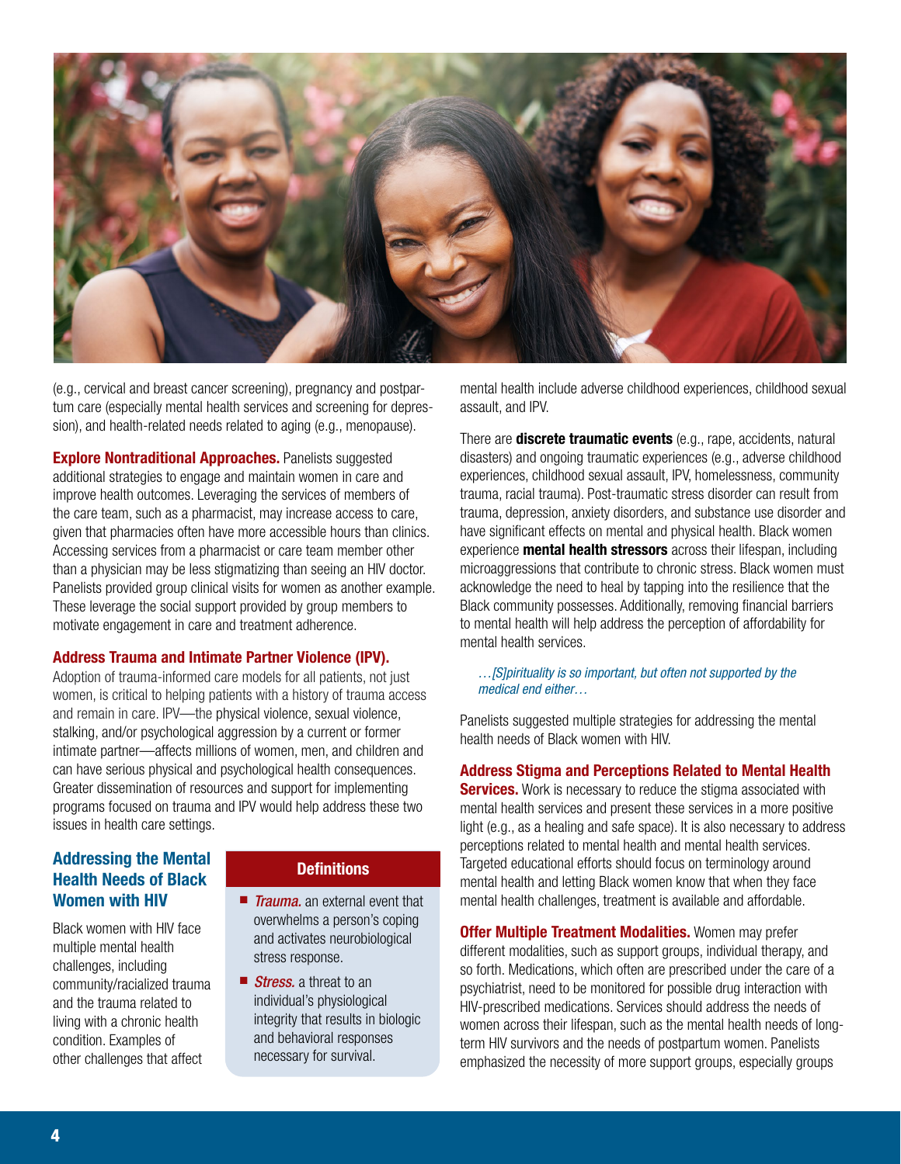

(e.g., cervical and breast cancer screening), pregnancy and postpartum care (especially mental health services and screening for depression), and health-related needs related to aging (e.g., menopause).

**Explore Nontraditional Approaches. Panelists suggested** additional strategies to engage and maintain women in care and improve health outcomes. Leveraging the services of members of the care team, such as a pharmacist, may increase access to care, given that pharmacies often have more accessible hours than clinics. Accessing services from a pharmacist or care team member other than a physician may be less stigmatizing than seeing an HIV doctor. Panelists provided group clinical visits for women as another example. These leverage the social support provided by group members to motivate engagement in care and treatment adherence.

#### Address Trauma and Intimate Partner Violence (IPV).

Adoption of trauma-informed care models for all patients, not just women, is critical to helping patients with a history of trauma access and remain in care. IPV—the physical violence, sexual violence, stalking, and/or psychological aggression by a current or former intimate partner—affects millions of women, men, and children and can have serious physical and psychological health consequences. Greater dissemination of resources and support for implementing programs focused on trauma and IPV would help address these two issues in health care settings.

## Addressing the Mental Health Needs of Black Women with HIV

Black women with HIV face multiple mental health challenges, including community/racialized trauma and the trauma related to living with a chronic health condition. Examples of other challenges that affect

## **Definitions**

- *Trauma*, an external event that overwhelms a person's coping and activates neurobiological stress response.
- *Stress*. a threat to an individual's physiological integrity that results in biologic and behavioral responses necessary for survival.

mental health include adverse childhood experiences, childhood sexual assault, and IPV.

There are **discrete traumatic events** (e.g., rape, accidents, natural disasters) and ongoing traumatic experiences (e.g., adverse childhood experiences, childhood sexual assault, IPV, homelessness, community trauma, racial trauma). Post-traumatic stress disorder can result from trauma, depression, anxiety disorders, and substance use disorder and have significant effects on mental and physical health. Black women experience **mental health stressors** across their lifespan, including microaggressions that contribute to chronic stress. Black women must acknowledge the need to heal by tapping into the resilience that the Black community possesses. Additionally, removing financial barriers to mental health will help address the perception of affordability for mental health services.

*…[S]pirituality is so important, but often not supported by the medical end either…*

Panelists suggested multiple strategies for addressing the mental health needs of Black women with HIV.

## Address Stigma and Perceptions Related to Mental Health

**Services.** Work is necessary to reduce the stigma associated with mental health services and present these services in a more positive light (e.g., as a healing and safe space). It is also necessary to address perceptions related to mental health and mental health services. Targeted educational efforts should focus on terminology around mental health and letting Black women know that when they face mental health challenges, treatment is available and affordable.

**Offer Multiple Treatment Modalities.** Women may prefer different modalities, such as support groups, individual therapy, and so forth. Medications, which often are prescribed under the care of a psychiatrist, need to be monitored for possible drug interaction with HIV-prescribed medications. Services should address the needs of women across their lifespan, such as the mental health needs of longterm HIV survivors and the needs of postpartum women. Panelists emphasized the necessity of more support groups, especially groups